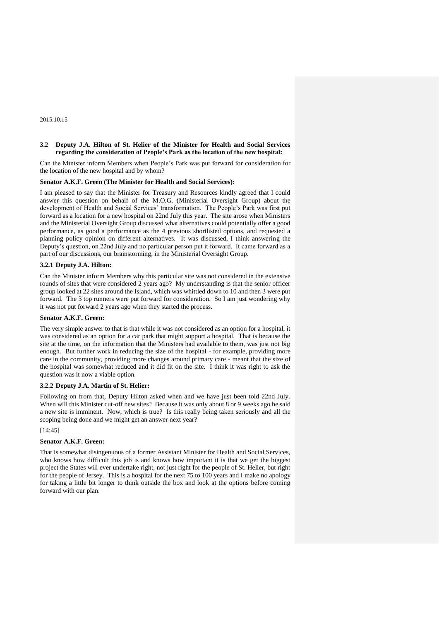2015.10.15

# **3.2 Deputy J.A. Hilton of St. Helier of the Minister for Health and Social Services regarding the consideration of People's Park as the location of the new hospital:**

Can the Minister inform Members when People's Park was put forward for consideration for the location of the new hospital and by whom?

## **Senator A.K.F. Green (The Minister for Health and Social Services):**

I am pleased to say that the Minister for Treasury and Resources kindly agreed that I could answer this question on behalf of the M.O.G. (Ministerial Oversight Group) about the development of Health and Social Services' transformation. The People's Park was first put forward as a location for a new hospital on 22nd July this year. The site arose when Ministers and the Ministerial Oversight Group discussed what alternatives could potentially offer a good performance, as good a performance as the 4 previous shortlisted options, and requested a planning policy opinion on different alternatives. It was discussed, I think answering the Deputy's question, on 22nd July and no particular person put it forward. It came forward as a part of our discussions, our brainstorming, in the Ministerial Oversight Group.

### **3.2.1 Deputy J.A. Hilton:**

Can the Minister inform Members why this particular site was not considered in the extensive rounds of sites that were considered 2 years ago? My understanding is that the senior officer group looked at 22 sites around the Island, which was whittled down to 10 and then 3 were put forward. The 3 top runners were put forward for consideration. So I am just wondering why it was not put forward 2 years ago when they started the process.

# **Senator A.K.F. Green:**

The very simple answer to that is that while it was not considered as an option for a hospital, it was considered as an option for a car park that might support a hospital. That is because the site at the time, on the information that the Ministers had available to them, was just not big enough. But further work in reducing the size of the hospital - for example, providing more care in the community, providing more changes around primary care - meant that the size of the hospital was somewhat reduced and it did fit on the site. I think it was right to ask the question was it now a viable option.

### **3.2.2 Deputy J.A. Martin of St. Helier:**

Following on from that, Deputy Hilton asked when and we have just been told 22nd July. When will this Minister cut-off new sites? Because it was only about 8 or 9 weeks ago he said a new site is imminent. Now, which is true? Is this really being taken seriously and all the scoping being done and we might get an answer next year?

# [14:45]

### **Senator A.K.F. Green:**

That is somewhat disingenuous of a former Assistant Minister for Health and Social Services, who knows how difficult this job is and knows how important it is that we get the biggest project the States will ever undertake right, not just right for the people of St. Helier, but right for the people of Jersey. This is a hospital for the next 75 to 100 years and I make no apology for taking a little bit longer to think outside the box and look at the options before coming forward with our plan.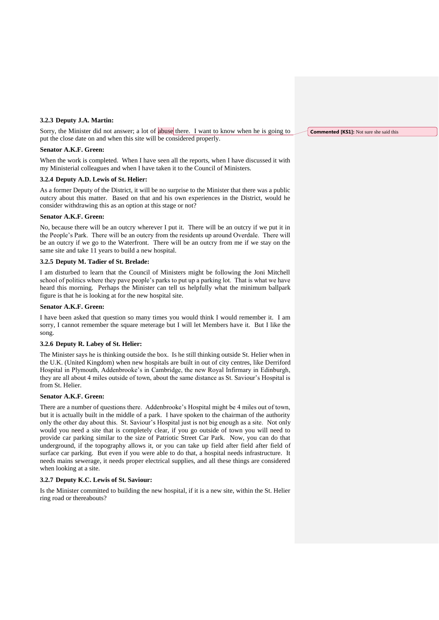## **3.2.3 Deputy J.A. Martin:**

Sorry, the Minister did not answer; a lot of abuse there. I want to know when he is going to put the close date on and when this site will be considered properly.

## **Senator A.K.F. Green:**

When the work is completed. When I have seen all the reports, when I have discussed it with my Ministerial colleagues and when I have taken it to the Council of Ministers.

### **3.2.4 Deputy A.D. Lewis of St. Helier:**

As a former Deputy of the District, it will be no surprise to the Minister that there was a public outcry about this matter. Based on that and his own experiences in the District, would he consider withdrawing this as an option at this stage or not?

# **Senator A.K.F. Green:**

No, because there will be an outcry wherever I put it. There will be an outcry if we put it in the People's Park. There will be an outcry from the residents up around Overdale. There will be an outcry if we go to the Waterfront. There will be an outcry from me if we stay on the same site and take 11 years to build a new hospital.

# **3.2.5 Deputy M. Tadier of St. Brelade:**

I am disturbed to learn that the Council of Ministers might be following the Joni Mitchell school of politics where they pave people's parks to put up a parking lot. That is what we have heard this morning. Perhaps the Minister can tell us helpfully what the minimum ballpark figure is that he is looking at for the new hospital site.

## **Senator A.K.F. Green:**

I have been asked that question so many times you would think I would remember it. I am sorry, I cannot remember the square meterage but I will let Members have it. But I like the song.

# **3.2.6 Deputy R. Labey of St. Helier:**

The Minister says he is thinking outside the box. Is he still thinking outside St. Helier when in the U.K. (United Kingdom) when new hospitals are built in out of city centres, like Derriford Hospital in Plymouth, Addenbrooke's in Cambridge, the new Royal Infirmary in Edinburgh, they are all about 4 miles outside of town, about the same distance as St. Saviour's Hospital is from St. Helier.

#### **Senator A.K.F. Green:**

There are a number of questions there. Addenbrooke's Hospital might be 4 miles out of town, but it is actually built in the middle of a park. I have spoken to the chairman of the authority only the other day about this. St. Saviour's Hospital just is not big enough as a site. Not only would you need a site that is completely clear, if you go outside of town you will need to provide car parking similar to the size of Patriotic Street Car Park. Now, you can do that underground, if the topography allows it, or you can take up field after field after field of surface car parking. But even if you were able to do that, a hospital needs infrastructure. It needs mains sewerage, it needs proper electrical supplies, and all these things are considered when looking at a site.

## **3.2.7 Deputy K.C. Lewis of St. Saviour:**

Is the Minister committed to building the new hospital, if it is a new site, within the St. Helier ring road or thereabouts?

**Commented [KS1]:** Not sure she said this